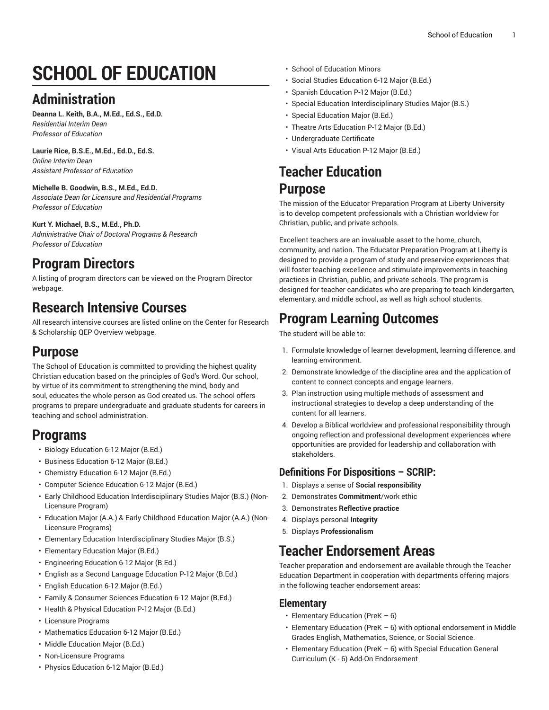# **SCHOOL OF EDUCATION**

# **Administration**

**Deanna L. Keith, B.A., M.Ed., Ed.S., Ed.D.** *Residential Interim Dean Professor of Education*

## **Laurie Rice, B.S.E., M.Ed., Ed.D., Ed.S.**

*Online Interim Dean Assistant Professor of Education*

#### **Michelle B. Goodwin, B.S., M.Ed., Ed.D.**

*Associate Dean for Licensure and Residential Programs Professor of Education*

#### **Kurt Y. Michael, B.S., M.Ed., Ph.D.**

*Administrative Chair of Doctoral Programs & Research Professor of Education*

## **Program Directors**

A listing of program directors can be viewed on the [Program](https://www.liberty.edu/institutional-effectiveness/academic-program-directors/) Director webpage.

# **Research Intensive Courses**

All research intensive courses are listed online on the Center for Research & Scholarship QEP [Overview](https://www.liberty.edu/center-for-research-scholarship/qep-overview/) webpage.

## **Purpose**

The School of Education is committed to providing the highest quality Christian education based on the principles of God's Word. Our school, by virtue of its commitment to strengthening the mind, body and soul, educates the whole person as God created us. The school offers programs to prepare undergraduate and graduate students for careers in teaching and school administration.

# **Programs**

- Biology [Education](https://catalog.liberty.edu/undergraduate/colleges-schools/education/licensure-programs/biology-education-bed-6-12/) 6-12 Major (B.Ed.)
- Business [Education](https://catalog.liberty.edu/undergraduate/colleges-schools/education/licensure-programs/business-education-bed-6-12/) 6-12 Major (B.Ed.)
- [Chemistry](https://catalog.liberty.edu/undergraduate/colleges-schools/education/licensure-programs/chemistry-education-bed-6-12/) Education 6-12 Major (B.Ed.)
- Computer Science [Education](https://catalog.liberty.edu/undergraduate/colleges-schools/education/licensure-programs/computer-science-education-bed-6-12/) 6-12 Major (B.Ed.)
- Early Childhood Education [Interdisciplinary](https://catalog.liberty.edu/undergraduate/colleges-schools/education/non-licensure-programs/early-childhood-education-interdisciplinary-studies-major-bs-non-licensure-program/) Studies Major (B.S.) (Non-[Licensure](https://catalog.liberty.edu/undergraduate/colleges-schools/education/non-licensure-programs/early-childhood-education-interdisciplinary-studies-major-bs-non-licensure-program/) Program)
- Education Major (A.A.) & Early [Childhood](https://catalog.liberty.edu/undergraduate/colleges-schools/education/non-licensure-programs/education-major-aa-early-childhood-education-major-aa-non-licensure-programs/) Education Major (A.A.) (Non-Licensure [Programs\)](https://catalog.liberty.edu/undergraduate/colleges-schools/education/non-licensure-programs/education-major-aa-early-childhood-education-major-aa-non-licensure-programs/)
- Elementary Education [Interdisciplinary](https://catalog.liberty.edu/undergraduate/colleges-schools/education/non-licensure-programs/elementary-education-interdisciplinary-studies-major-bs/) Studies Major (B.S.)
- [Elementary](https://catalog.liberty.edu/undergraduate/colleges-schools/education/licensure-programs/elementary-education-bed/) Education Major (B.Ed.)
- [Engineering](https://catalog.liberty.edu/undergraduate/colleges-schools/education/licensure-programs/engineering-education-bed-6-12/) Education 6-12 Major (B.Ed.)
- English as a Second Language [Education](https://catalog.liberty.edu/undergraduate/colleges-schools/education/licensure-programs/english-second-language-education-bed-p-12/) P-12 Major (B.Ed.)
- English [Education](https://catalog.liberty.edu/undergraduate/colleges-schools/education/licensure-programs/english-education-bed-6-12/) 6-12 Major (B.Ed.)
- Family & [Consumer](https://catalog.liberty.edu/undergraduate/colleges-schools/education/licensure-programs/family-consumer-sciences-education-bed-6-12/) Sciences Education 6-12 Major (B.Ed.)
- Health & Physical [Education](https://catalog.liberty.edu/undergraduate/colleges-schools/education/licensure-programs/health-physical-education-bed-p-12/) P-12 Major (B.Ed.)
- Licensure [Programs](https://catalog.liberty.edu/undergraduate/colleges-schools/education/licensure-programs/)
- [Mathematics](https://catalog.liberty.edu/undergraduate/colleges-schools/education/licensure-programs/mathematics-education-bed-6-12/) Education 6-12 Major (B.Ed.)
- Middle [Education](https://catalog.liberty.edu/undergraduate/colleges-schools/education/licensure-programs/middle-education-bed/) Major (B.Ed.)
- [Non-Licensure](https://catalog.liberty.edu/undergraduate/colleges-schools/education/non-licensure-programs/) Programs
- Physics [Education](https://catalog.liberty.edu/undergraduate/colleges-schools/education/licensure-programs/physics-education-bed-6-12/) 6-12 Major (B.Ed.)
- School of [Education](https://catalog.liberty.edu/undergraduate/colleges-schools/education/minors/) Minors
- Social Studies [Education](https://catalog.liberty.edu/undergraduate/colleges-schools/education/licensure-programs/social-studies-education-bed-6-12/) 6-12 Major (B.Ed.)
- Spanish [Education](https://catalog.liberty.edu/undergraduate/colleges-schools/education/licensure-programs/spanish-education-bed-p-12/) P-12 Major (B.Ed.)
- Special Education [Interdisciplinary](https://catalog.liberty.edu/undergraduate/colleges-schools/education/non-licensure-programs/special-education-interdisciplinary-studies-major-bs/) Studies Major (B.S.)
- Special [Education](https://catalog.liberty.edu/undergraduate/colleges-schools/education/licensure-programs/special-education-bed/) Major (B.Ed.)
- Theatre Arts [Education](https://catalog.liberty.edu/undergraduate/colleges-schools/education/licensure-programs/theatre-arts-education-bed-p-12/) P-12 Major (B.Ed.)
- [Undergraduate](https://catalog.liberty.edu/undergraduate/colleges-schools/education/undergraduate-certificate/) Certificate
- Visual Arts [Education](https://catalog.liberty.edu/undergraduate/colleges-schools/education/licensure-programs/visual-arts-education-bed-p-12/) P-12 Major (B.Ed.)

# **Teacher Education**

## **Purpose**

The mission of the Educator Preparation Program at Liberty University is to develop competent professionals with a Christian worldview for Christian, public, and private schools.

Excellent teachers are an invaluable asset to the home, church, community, and nation. The Educator Preparation Program at Liberty is designed to provide a program of study and preservice experiences that will foster teaching excellence and stimulate improvements in teaching practices in Christian, public, and private schools. The program is designed for teacher candidates who are preparing to teach kindergarten, elementary, and middle school, as well as high school students.

# **Program Learning Outcomes**

The student will be able to:

- 1. Formulate knowledge of learner development, learning difference, and learning environment.
- 2. Demonstrate knowledge of the discipline area and the application of content to connect concepts and engage learners.
- 3. Plan instruction using multiple methods of assessment and instructional strategies to develop a deep understanding of the content for all learners.
- 4. Develop a Biblical worldview and professional responsibility through ongoing reflection and professional development experiences where opportunities are provided for leadership and collaboration with stakeholders.

## **Definitions For Dispositions – SCRIP:**

- 1. Displays a sense of **Social responsibility**
- 2. Demonstrates **Commitment**/work ethic
- 3. Demonstrates **Reflective practice**
- 4. Displays personal **Integrity**
- 5. Displays **Professionalism**

## **Teacher Endorsement Areas**

Teacher preparation and endorsement are available through the Teacher Education Department in cooperation with departments offering majors in the following teacher endorsement areas:

#### **Elementary**

- Elementary Education (PreK 6)
- Elementary Education (PreK 6) with optional endorsement in Middle Grades English, Mathematics, Science, or Social Science.
- Elementary Education (PreK 6) with Special Education General Curriculum (K - 6) Add-On Endorsement